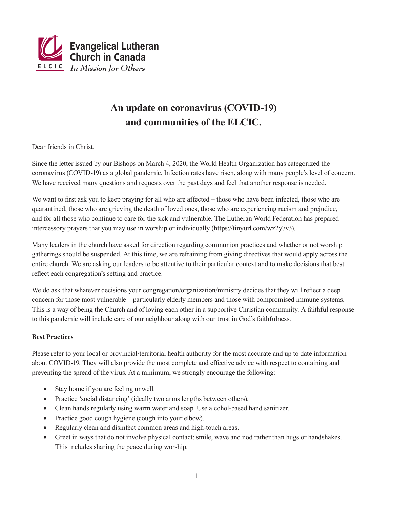

# **An update on coronavirus (COVID-19) and communities of the ELCIC.**

Dear friends in Christ,

Since the letter issued by our Bishops on March 4, 2020, the World Health Organization has categorized the coronavirus (COVID-19) as a global pandemic. Infection rates have risen, along with many people's level of concern. We have received many questions and requests over the past days and feel that another response is needed.

We want to first ask you to keep praying for all who are affected – those who have been infected, those who are quarantined, those who are grieving the death of loved ones, those who are experiencing racism and prejudice, and for all those who continue to care for the sick and vulnerable. The Lutheran World Federation has prepared intercessory prayers that you may use in worship or individually (https://tinyurl.com/wz2y7v3).

Many leaders in the church have asked for direction regarding communion practices and whether or not worship gatherings should be suspended. At this time, we are refraining from giving directives that would apply across the entire church. We are asking our leaders to be attentive to their particular context and to make decisions that best reflect each congregation's setting and practice.

We do ask that whatever decisions your congregation/organization/ministry decides that they will reflect a deep concern for those most vulnerable – particularly elderly members and those with compromised immune systems. This is a way of being the Church and of loving each other in a supportive Christian community. A faithful response to this pandemic will include care of our neighbour along with our trust in God's faithfulness.

## **Best Practices**

Please refer to your local or provincial/territorial health authority for the most accurate and up to date information about COVID-19. They will also provide the most complete and effective advice with respect to containing and preventing the spread of the virus. At a minimum, we strongly encourage the following:

- Stay home if you are feeling unwell.
- Practice 'social distancing' (ideally two arms lengths between others).
- Clean hands regularly using warm water and soap. Use alcohol-based hand sanitizer.
- Practice good cough hygiene (cough into your elbow).
- Regularly clean and disinfect common areas and high-touch areas.
- Greet in ways that do not involve physical contact; smile, wave and nod rather than hugs or handshakes. This includes sharing the peace during worship.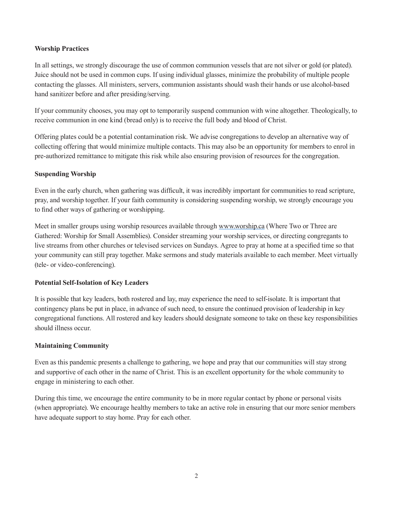#### **Worship Practices**

In all settings, we strongly discourage the use of common communion vessels that are not silver or gold (or plated). Juice should not be used in common cups. If using individual glasses, minimize the probability of multiple people contacting the glasses. All ministers, servers, communion assistants should wash their hands or use alcohol-based hand sanitizer before and after presiding/serving.

If your community chooses, you may opt to temporarily suspend communion with wine altogether. Theologically, to receive communion in one kind (bread only) is to receive the full body and blood of Christ.

Offering plates could be a potential contamination risk. We advise congregations to develop an alternative way of collecting offering that would minimize multiple contacts. This may also be an opportunity for members to enrol in pre-authorized remittance to mitigate this risk while also ensuring provision of resources for the congregation.

#### **Suspending Worship**

Even in the early church, when gathering was difficult, it was incredibly important for communities to read scripture, pray, and worship together. If your faith community is considering suspending worship, we strongly encourage you to find other ways of gathering or worshipping.

Meet in smaller groups using worship resources available through www.worship.ca (Where Two or Three are Gathered: Worship for Small Assemblies). Consider streaming your worship services, or directing congregants to live streams from other churches or televised services on Sundays. Agree to pray at home at a specified time so that your community can still pray together. Make sermons and study materials available to each member. Meet virtually (tele- or video-conferencing).

### **Potential Self-Isolation of Key Leaders**

It is possible that key leaders, both rostered and lay, may experience the need to self-isolate. It is important that contingency plans be put in place, in advance of such need, to ensure the continued provision of leadership in key congregational functions. All rostered and key leaders should designate someone to take on these key responsibilities should illness occur.

### **Maintaining Community**

Even as this pandemic presents a challenge to gathering, we hope and pray that our communities will stay strong and supportive of each other in the name of Christ. This is an excellent opportunity for the whole community to engage in ministering to each other.

During this time, we encourage the entire community to be in more regular contact by phone or personal visits (when appropriate). We encourage healthy members to take an active role in ensuring that our more senior members have adequate support to stay home. Pray for each other.